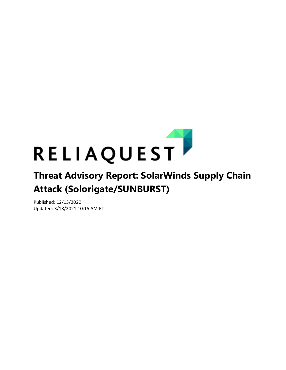

# **Attack (Solorigate/SUNBURST)**

Published: 12/13/2020 Updated: 3/18/2021 10:15 AM ET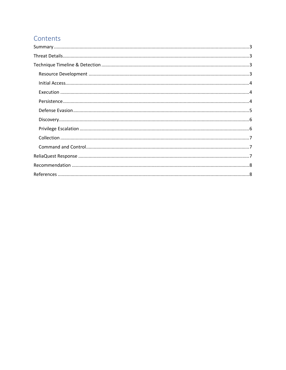# Contents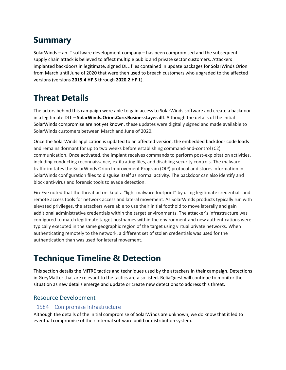# <span id="page-2-0"></span>**Summary**

SolarWinds – an IT software development company – has been compromised and the subsequent supply chain attack is believed to affect multiple public and private sector customers. Attackers implanted backdoors in legitimate, signed DLL files contained in update packages for SolarWinds Orion from March until June of 2020 that were then used to breach customers who upgraded to the affected versions (versions **2019.4 HF 5** through **2020.2 HF 1**).

# <span id="page-2-1"></span>**Threat Details**

The actors behind this campaign were able to gain access to SolarWinds software and create a backdoor in a legitimate DLL – **SolarWinds.Orion.Core.BusinessLayer.dll**. Although the details of the initial SolarWinds compromise are not yet known, these updates were digitally signed and made available to SolarWinds customers between March and June of 2020.

Once the SolarWinds application is updated to an affected version, the embedded backdoor code loads and remains dormant for up to two weeks before establishing command-and-control (C2) communication. Once activated, the implant receives commands to perform post-exploitation activities, including conducting reconnaissance, exfiltrating files, and disabling security controls. The malware traffic imitates the SolarWinds Orion Improvement Program (OIP) protocol and stores information in SolarWinds configuration files to disguise itself as normal activity. The backdoor can also identify and block anti-virus and forensic tools to evade detection.

FireEye noted that the threat actors kept a "light malware footprint" by using legitimate credentials and remote access tools for network access and lateral movement. As SolarWinds products typically run with elevated privileges, the attackers were able to use their initial foothold to move laterally and gain additional administrative credentials within the target environments. The attacker's infrastructure was configured to match legitimate target hostnames within the environment and new authentications were typically executed in the same geographic region of the target using virtual private networks. When authenticating remotely to the network, a different set of stolen credentials was used for the authentication than was used for lateral movement.

# <span id="page-2-2"></span>**Technique Timeline & Detection**

This section details the MITRE tactics and techniques used by the attackers in their campaign. Detections in GreyMatter that are relevant to the tactics are also listed. ReliaQuest will continue to monitor the situation as new details emerge and update or create new detections to address this threat.

## <span id="page-2-3"></span>Resource Development

#### T1584 – Compromise Infrastructure

Although the details of the initial compromise of SolarWinds are unknown, we do know that it led to eventual compromise of their internal software build or distribution system.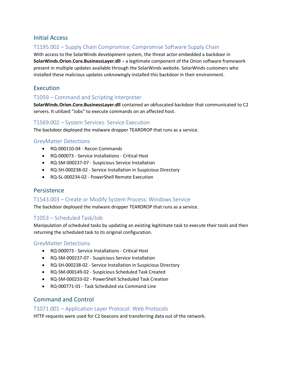#### <span id="page-3-0"></span>Initial Access

## T1195.002 – Supply Chain Compromise: Compromise Software Supply Chain

With access to the SolarWinds development system, the threat actor embedded a backdoor in **SolarWinds.Orion.Core.BusinessLayer.dll** – a legitimate component of the Orion software framework present in multiple updates available through the SolarWinds website. SolarWinds customers who installed these malicious updates unknowingly installed this backdoor in their environment.

## <span id="page-3-1"></span>Execution

#### T1059 – Command and Scripting Interpreter

**SolarWinds.Orion.Core.BusinessLayer.dll** contained an obfuscated backdoor that communicated to C2 servers. It utilized "Jobs" to execute commands on an affected host.

#### T1569.002 – System Services: Service Execution

The backdoor deployed the malware dropper TEARDROP that runs as a service.

#### GreyMatter Detections

- RQ-000110-04 Recon Commands
- RQ-000073 Service Installations Critical Host
- RQ-SM-000237-07 Suspicious Service Installation
- RQ-SH-000238-02 Service Installation in Suspicious Directory
- RQ-SL-000234-02 PowerShell Remote Execution

#### <span id="page-3-2"></span>Persistence

#### T1543.003 – Create or Modify System Process: Windows Service

The backdoor deployed the malware dropper TEARDROP that runs as a service.

#### T1053 – Scheduled Task/Job

Manipulation of scheduled tasks by updating an existing legitimate task to execute their tools and then returning the scheduled task to its original configuration.

#### GreyMatter Detections

- RQ-000073 Service Installations Critical Host
- RQ-SM-000237-07 Suspicious Service Installation
- RQ-SH-000238-02 Service Installation in Suspicious Directory
- RQ-SM-000149-02 Suspicious Scheduled Task Created
- RQ-SM-000233-02 PowerShell Scheduled Task Creation
- RQ-000771-01 Task Scheduled via Command Line

## Command and Control

#### T1071.001 – Application Layer Protocol: Web Protocols

HTTP requests were used for C2 beacons and transferring data out of the network.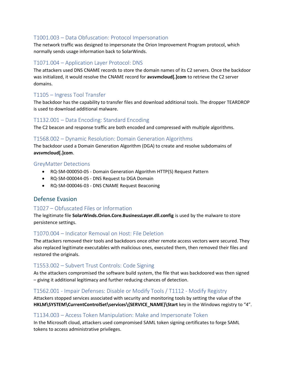#### T1001.003 – Data Obfuscation: Protocol Impersonation

The network traffic was designed to impersonate the Orion Improvement Program protocol, which normally sends usage information back to SolarWinds.

#### T1071.004 – Application Layer Protocol: DNS

The attackers used DNS CNAME records to store the domain names of its C2 servers. Once the backdoor was initialized, it would resolve the CNAME record for **avsvmcloud[.]com** to retrieve the C2 server domains.

#### T1105 – Ingress Tool Transfer

The backdoor has the capability to transfer files and download additional tools. The dropper TEARDROP is used to download additional malware.

#### T1132.001 – Data Encoding: Standard Encoding

The C2 beacon and response traffic are both encoded and compressed with multiple algorithms.

#### T1568.002 – Dynamic Resolution: Domain Generation Algorithms

The backdoor used a Domain Generation Algorithm (DGA) to create and resolve subdomains of **avsvmcloud[.]com**.

#### GreyMatter Detections

- RQ-SM-000050-05 Domain Generation Algorithm HTTP(S) Request Pattern
- RQ-SM-000044-05 DNS Request to DGA Domain
- RQ-SM-000046-03 DNS CNAME Request Beaconing

#### <span id="page-4-0"></span>Defense Evasion

#### T1027 – Obfuscated Files or Information

The legitimate file **SolarWinds.Orion.Core.BusinessLayer.dll.config** is used by the malware to store persistence settings.

#### T1070.004 – Indicator Removal on Host: File Deletion

The attackers removed their tools and backdoors once other remote access vectors were secured. They also replaced legitimate executables with malicious ones, executed them, then removed their files and restored the originals.

#### T1553.002 – Subvert Trust Controls: Code Signing

As the attackers compromised the software build system, the file that was backdoored was then signed – giving it additional legitimacy and further reducing chances of detection.

#### T1562.001 - Impair Defenses: Disable or Modify Tools / T1112 - Modify Registry

Attackers stopped services associated with security and monitoring tools by setting the value of the **HKLM\SYSTEM\CurrentControlSet\services\{SERVICE\_NAME}\Start** key in the Windows registry to "4".

#### T1134.003 – Access Token Manipulation: Make and Impersonate Token

In the Microsoft cloud, attackers used compromised SAML token signing certificates to forge SAML tokens to access administrative privileges.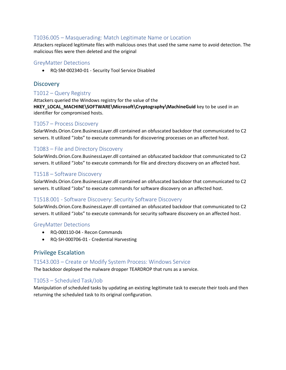## T1036.005 – Masquerading: Match Legitimate Name or Location

Attackers replaced legitimate files with malicious ones that used the same name to avoid detection. The malicious files were then deleted and the original

#### GreyMatter Detections

• RQ-SM-002340-01 - Security Tool Service Disabled

#### <span id="page-5-0"></span>**Discovery**

#### T1012 – Query Registry

Attackers queried the Windows registry for the value of the **HKEY\_LOCAL\_MACHINE\SOFTWARE\Microsoft\Cryptography\MachineGuid** key to be used in an identifier for compromised hosts.

#### T1057 – Process Discovery

SolarWinds.Orion.Core.BusinessLayer.dll contained an obfuscated backdoor that communicated to C2 servers. It utilized "Jobs" to execute commands for discovering processes on an affected host.

#### T1083 – File and Directory Discovery

SolarWinds.Orion.Core.BusinessLayer.dll contained an obfuscated backdoor that communicated to C2 servers. It utilized "Jobs" to execute commands for file and directory discovery on an affected host.

#### T1518 – Software Discovery

SolarWinds.Orion.Core.BusinessLayer.dll contained an obfuscated backdoor that communicated to C2 servers. It utilized "Jobs" to execute commands for software discovery on an affected host.

#### T1518.001 - Software Discovery: Security Software Discovery

SolarWinds.Orion.Core.BusinessLayer.dll contained an obfuscated backdoor that communicated to C2 servers. It utilized "Jobs" to execute commands for security software discovery on an affected host.

#### GreyMatter Detections

- RQ-000110-04 Recon Commands
- RQ-SH-000706-01 Credential Harvesting

## <span id="page-5-1"></span>Privilege Escalation

#### T1543.003 – Create or Modify System Process: Windows Service

The backdoor deployed the malware dropper TEARDROP that runs as a service.

#### T1053 – Scheduled Task/Job

Manipulation of scheduled tasks by updating an existing legitimate task to execute their tools and then returning the scheduled task to its original configuration.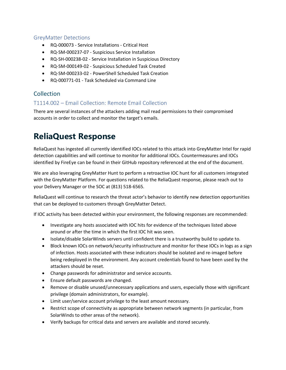#### GreyMatter Detections

- RQ-000073 Service Installations Critical Host
- RQ-SM-000237-07 Suspicious Service Installation
- RQ-SH-000238-02 Service Installation in Suspicious Directory
- RQ-SM-000149-02 Suspicious Scheduled Task Created
- RQ-SM-000233-02 PowerShell Scheduled Task Creation
- RQ-000771-01 Task Scheduled via Command Line

## <span id="page-6-0"></span>Collection

#### T1114.002 – Email Collection: Remote Email Collection

There are several instances of the attackers adding mail read permissions to their compromised accounts in order to collect and monitor the target's emails.

# <span id="page-6-1"></span>**ReliaQuest Response**

ReliaQuest has ingested all currently identified IOCs related to this attack into GreyMatter Intel for rapid detection capabilities and will continue to monitor for additional IOCs. Countermeasures and IOCs identified by FireEye can be found in their GitHub repository referenced at the end of the document.

We are also leveraging GreyMatter Hunt to perform a retroactive IOC hunt for all customers integrated with the GreyMatter Platform. For questions related to the ReliaQuest response, please reach out to your Delivery Manager or the SOC at (813) 518-6565.

ReliaQuest will continue to research the threat actor's behavior to identify new detection opportunities that can be deployed to customers through GreyMatter Detect.

If IOC activity has been detected within your environment, the following responses are recommended:

- Investigate any hosts associated with IOC hits for evidence of the techniques listed above around or after the time in which the first IOC hit was seen.
- Isolate/disable SolarWinds servers until confident there is a trustworthy build to update to.
- Block known IOCs on network/security infrastructure and monitor for these IOCs in logs as a sign of infection. Hosts associated with these indicators should be isolated and re-imaged before being redeployed in the environment. Any account credentials found to have been used by the attackers should be reset.
- Change passwords for administrator and service accounts.
- Ensure default passwords are changed.
- Remove or disable unused/unnecessary applications and users, especially those with significant privilege (domain administrators, for example).
- Limit user/service account privilege to the least amount necessary.
- Restrict scope of connectivity as appropriate between network segments (in particular, from SolarWinds to other areas of the network).
- Verify backups for critical data and servers are available and stored securely.